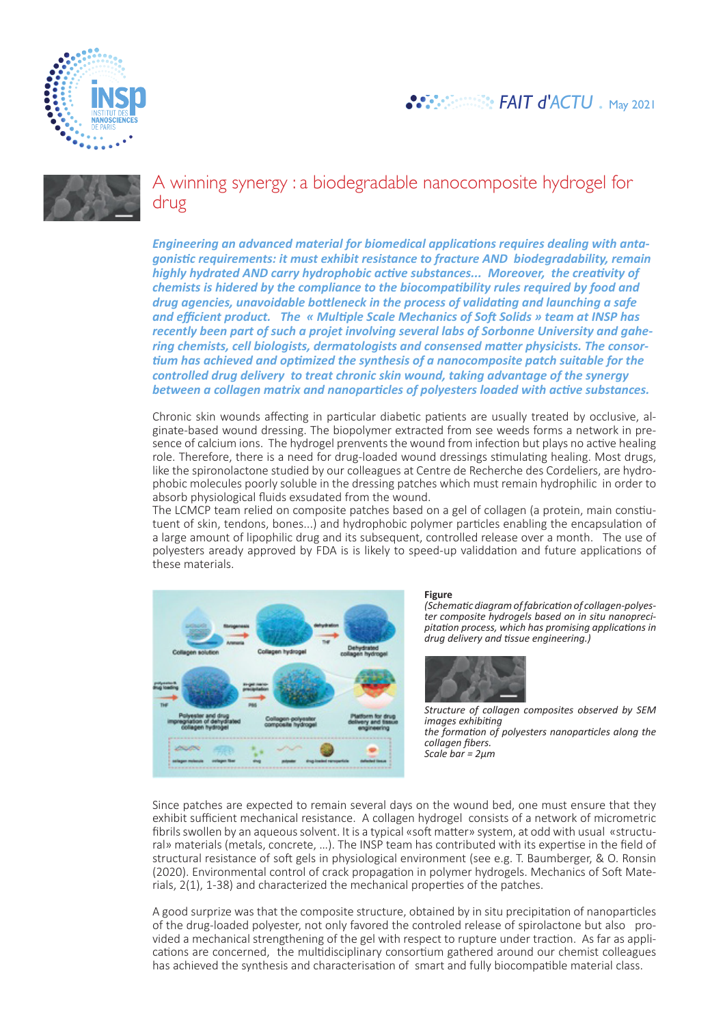

## *FAIT d'ACTU* . May 2021



A winning synergy : a biodegradable nanocomposite hydrogel for drug

*Engineering an advanced material for biomedical applications requires dealing with antagonistic requirements: it must exhibit resistance to fracture AND biodegradability, remain highly hydrated AND carry hydrophobic active substances... Moreover, the creativity of chemists is hidered by the compliance to the biocompatibility rules required by food and drug agencies, unavoidable bottleneck in the process of validating and launching a safe and efficient product. The « Multiple Scale Mechanics of Soft Solids » team at INSP has recently been part of such a projet involving several labs of Sorbonne University and gahering chemists, cell biologists, dermatologists and consensed matter physicists. The consortium has achieved and optimized the synthesis of a nanocomposite patch suitable for the controlled drug delivery to treat chronic skin wound, taking advantage of the synergy between a collagen matrix and nanoparticles of polyesters loaded with active substances.* 

Chronic skin wounds affecting in particular diabetic patients are usually treated by occlusive, alginate-based wound dressing. The biopolymer extracted from see weeds forms a network in presence of calcium ions. The hydrogel prenvents the wound from infection but plays no active healing role. Therefore, there is a need for drug-loaded wound dressings stimulating healing. Most drugs, like the spironolactone studied by our colleagues at Centre de Recherche des Cordeliers, are hydrophobic molecules poorly soluble in the dressing patches which must remain hydrophilic in order to absorb physiological fluids exsudated from the wound.

The LCMCP team relied on composite patches based on a gel of collagen (a protein, main constiutuent of skin, tendons, bones...) and hydrophobic polymer particles enabling the encapsulation of a large amount of lipophilic drug and its subsequent, controlled release over a month. The use of polyesters aready approved by FDA is is likely to speed-up validdation and future applications of these materials.



**Figure**<br>(Schematic diagram of fabrication of collagen-polyes-*(Schematic diagram of fabrication of collagen-polyes- ter composite hydrogels based on in situ nanopreci- pitation process, which has promising applications in drug delivery and tissue engineering.)* 



*Structure of collagen composites observed by SEM images exhibiting the formation of polyesters nanoparticles along the collagen fibers. Scale bar = 2µm*

Since patches are expected to remain several days on the wound bed, one must ensure that they exhibit sufficient mechanical resistance. A collagen hydrogel consists of a network of micrometric fibrils swollen by an aqueous solvent. It is a typical «soft matter» system, at odd with usual «structural» materials (metals, concrete, …). The INSP team has contributed with its expertise in the field of structural resistance of soft gels in physiological environment (see e.g. T. Baumberger, & O. Ronsin (2020). Environmental control of crack propagation in polymer hydrogels. Mechanics of Soft Materials, 2(1), 1-38) and characterized the mechanical properties of the patches.

A good surprize was that the composite structure, obtained by in situ precipitation of nanoparticles of the drug-loaded polyester, not only favored the controled release of spirolactone but also provided a mechanical strengthening of the gel with respect to rupture under traction. As far as applications are concerned, the multidisciplinary consortium gathered around our chemist colleagues has achieved the synthesis and characterisation of smart and fully biocompatible material class.